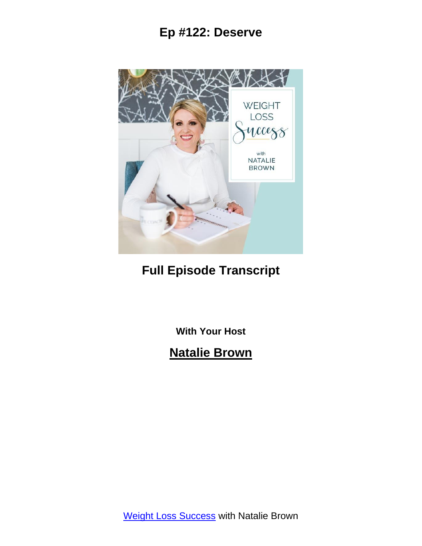

# **Full Episode Transcript**

**With Your Host**

# **Natalie Brown**

Weight Loss [Success](https://itbeginswithathought.com/podcast) with Natalie Brown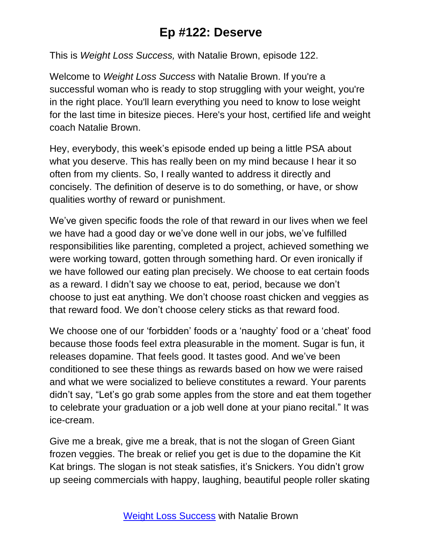This is *Weight Loss Success,* with Natalie Brown, episode 122.

Welcome to *Weight Loss Success* with Natalie Brown. If you're a successful woman who is ready to stop struggling with your weight, you're in the right place. You'll learn everything you need to know to lose weight for the last time in bitesize pieces. Here's your host, certified life and weight coach Natalie Brown.

Hey, everybody, this week's episode ended up being a little PSA about what you deserve. This has really been on my mind because I hear it so often from my clients. So, I really wanted to address it directly and concisely. The definition of deserve is to do something, or have, or show qualities worthy of reward or punishment.

We've given specific foods the role of that reward in our lives when we feel we have had a good day or we've done well in our jobs, we've fulfilled responsibilities like parenting, completed a project, achieved something we were working toward, gotten through something hard. Or even ironically if we have followed our eating plan precisely. We choose to eat certain foods as a reward. I didn't say we choose to eat, period, because we don't choose to just eat anything. We don't choose roast chicken and veggies as that reward food. We don't choose celery sticks as that reward food.

We choose one of our 'forbidden' foods or a 'naughty' food or a 'cheat' food because those foods feel extra pleasurable in the moment. Sugar is fun, it releases dopamine. That feels good. It tastes good. And we've been conditioned to see these things as rewards based on how we were raised and what we were socialized to believe constitutes a reward. Your parents didn't say, "Let's go grab some apples from the store and eat them together to celebrate your graduation or a job well done at your piano recital." It was ice-cream.

Give me a break, give me a break, that is not the slogan of Green Giant frozen veggies. The break or relief you get is due to the dopamine the Kit Kat brings. The slogan is not steak satisfies, it's Snickers. You didn't grow up seeing commercials with happy, laughing, beautiful people roller skating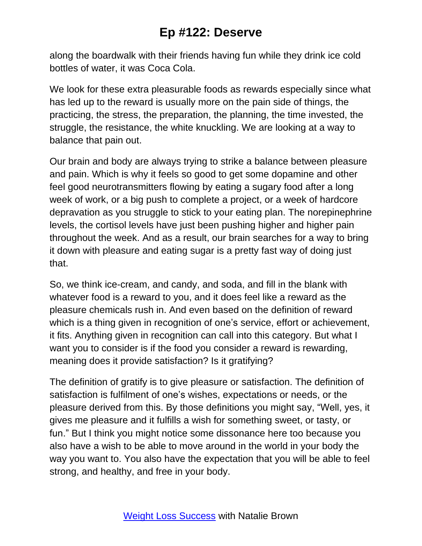along the boardwalk with their friends having fun while they drink ice cold bottles of water, it was Coca Cola.

We look for these extra pleasurable foods as rewards especially since what has led up to the reward is usually more on the pain side of things, the practicing, the stress, the preparation, the planning, the time invested, the struggle, the resistance, the white knuckling. We are looking at a way to balance that pain out.

Our brain and body are always trying to strike a balance between pleasure and pain. Which is why it feels so good to get some dopamine and other feel good neurotransmitters flowing by eating a sugary food after a long week of work, or a big push to complete a project, or a week of hardcore depravation as you struggle to stick to your eating plan. The norepinephrine levels, the cortisol levels have just been pushing higher and higher pain throughout the week. And as a result, our brain searches for a way to bring it down with pleasure and eating sugar is a pretty fast way of doing just that.

So, we think ice-cream, and candy, and soda, and fill in the blank with whatever food is a reward to you, and it does feel like a reward as the pleasure chemicals rush in. And even based on the definition of reward which is a thing given in recognition of one's service, effort or achievement, it fits. Anything given in recognition can call into this category. But what I want you to consider is if the food you consider a reward is rewarding, meaning does it provide satisfaction? Is it gratifying?

The definition of gratify is to give pleasure or satisfaction. The definition of satisfaction is fulfilment of one's wishes, expectations or needs, or the pleasure derived from this. By those definitions you might say, "Well, yes, it gives me pleasure and it fulfills a wish for something sweet, or tasty, or fun." But I think you might notice some dissonance here too because you also have a wish to be able to move around in the world in your body the way you want to. You also have the expectation that you will be able to feel strong, and healthy, and free in your body.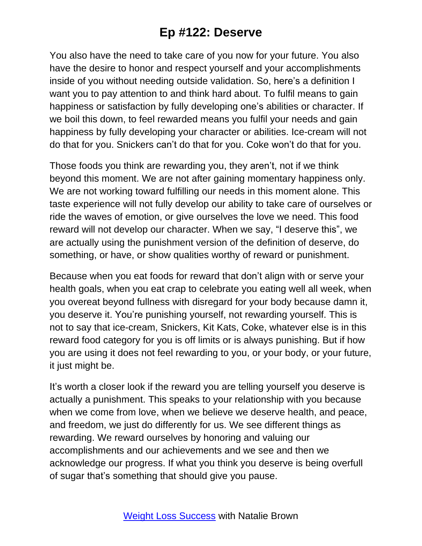You also have the need to take care of you now for your future. You also have the desire to honor and respect yourself and your accomplishments inside of you without needing outside validation. So, here's a definition I want you to pay attention to and think hard about. To fulfil means to gain happiness or satisfaction by fully developing one's abilities or character. If we boil this down, to feel rewarded means you fulfil your needs and gain happiness by fully developing your character or abilities. Ice-cream will not do that for you. Snickers can't do that for you. Coke won't do that for you.

Those foods you think are rewarding you, they aren't, not if we think beyond this moment. We are not after gaining momentary happiness only. We are not working toward fulfilling our needs in this moment alone. This taste experience will not fully develop our ability to take care of ourselves or ride the waves of emotion, or give ourselves the love we need. This food reward will not develop our character. When we say, "I deserve this", we are actually using the punishment version of the definition of deserve, do something, or have, or show qualities worthy of reward or punishment.

Because when you eat foods for reward that don't align with or serve your health goals, when you eat crap to celebrate you eating well all week, when you overeat beyond fullness with disregard for your body because damn it, you deserve it. You're punishing yourself, not rewarding yourself. This is not to say that ice-cream, Snickers, Kit Kats, Coke, whatever else is in this reward food category for you is off limits or is always punishing. But if how you are using it does not feel rewarding to you, or your body, or your future, it just might be.

It's worth a closer look if the reward you are telling yourself you deserve is actually a punishment. This speaks to your relationship with you because when we come from love, when we believe we deserve health, and peace, and freedom, we just do differently for us. We see different things as rewarding. We reward ourselves by honoring and valuing our accomplishments and our achievements and we see and then we acknowledge our progress. If what you think you deserve is being overfull of sugar that's something that should give you pause.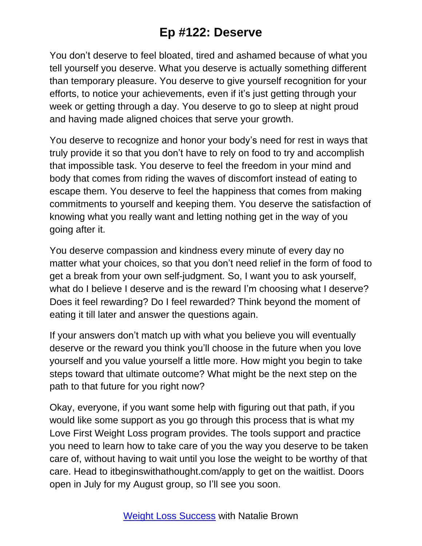You don't deserve to feel bloated, tired and ashamed because of what you tell yourself you deserve. What you deserve is actually something different than temporary pleasure. You deserve to give yourself recognition for your efforts, to notice your achievements, even if it's just getting through your week or getting through a day. You deserve to go to sleep at night proud and having made aligned choices that serve your growth.

You deserve to recognize and honor your body's need for rest in ways that truly provide it so that you don't have to rely on food to try and accomplish that impossible task. You deserve to feel the freedom in your mind and body that comes from riding the waves of discomfort instead of eating to escape them. You deserve to feel the happiness that comes from making commitments to yourself and keeping them. You deserve the satisfaction of knowing what you really want and letting nothing get in the way of you going after it.

You deserve compassion and kindness every minute of every day no matter what your choices, so that you don't need relief in the form of food to get a break from your own self-judgment. So, I want you to ask yourself, what do I believe I deserve and is the reward I'm choosing what I deserve? Does it feel rewarding? Do I feel rewarded? Think beyond the moment of eating it till later and answer the questions again.

If your answers don't match up with what you believe you will eventually deserve or the reward you think you'll choose in the future when you love yourself and you value yourself a little more. How might you begin to take steps toward that ultimate outcome? What might be the next step on the path to that future for you right now?

Okay, everyone, if you want some help with figuring out that path, if you would like some support as you go through this process that is what my Love First Weight Loss program provides. The tools support and practice you need to learn how to take care of you the way you deserve to be taken care of, without having to wait until you lose the weight to be worthy of that care. Head to itbeginswithathought.com/apply to get on the waitlist. Doors open in July for my August group, so I'll see you soon.